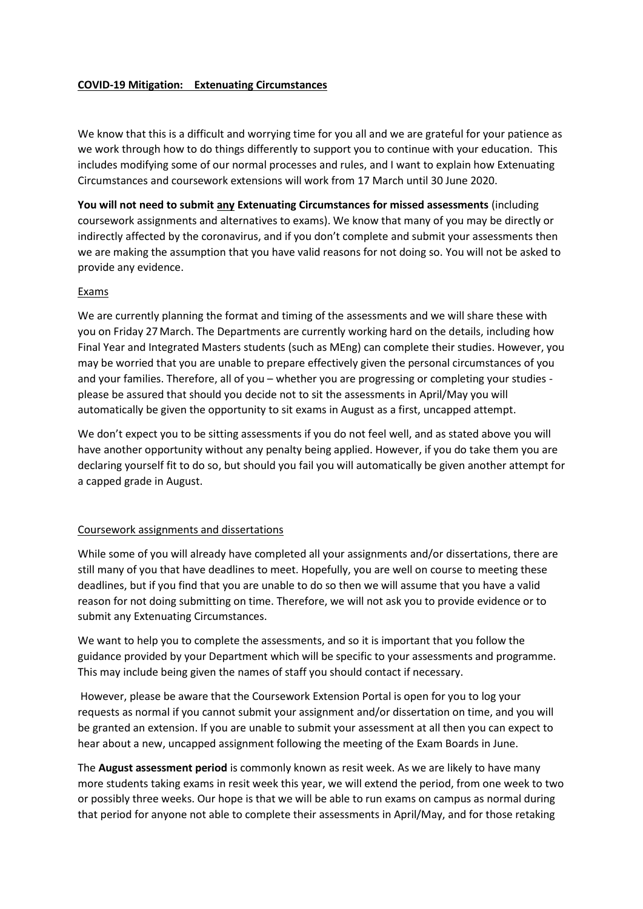## **COVID-19 Mitigation: Extenuating Circumstances**

We know that this is a difficult and worrying time for you all and we are grateful for your patience as we work through how to do things differently to support you to continue with your education. This includes modifying some of our normal processes and rules, and I want to explain how Extenuating Circumstances and coursework extensions will work from 17 March until 30 June 2020.

**You will not need to submit any Extenuating Circumstances for missed assessments** (including coursework assignments and alternatives to exams). We know that many of you may be directly or indirectly affected by the coronavirus, and if you don't complete and submit your assessments then we are making the assumption that you have valid reasons for not doing so. You will not be asked to provide any evidence.

## Exams

We are currently planning the format and timing of the assessments and we will share these with you on Friday 27 March. The Departments are currently working hard on the details, including how Final Year and Integrated Masters students (such as MEng) can complete their studies. However, you may be worried that you are unable to prepare effectively given the personal circumstances of you and your families. Therefore, all of you – whether you are progressing or completing your studies please be assured that should you decide not to sit the assessments in April/May you will automatically be given the opportunity to sit exams in August as a first, uncapped attempt.

We don't expect you to be sitting assessments if you do not feel well, and as stated above you will have another opportunity without any penalty being applied. However, if you do take them you are declaring yourself fit to do so, but should you fail you will automatically be given another attempt for a capped grade in August.

## Coursework assignments and dissertations

While some of you will already have completed all your assignments and/or dissertations, there are still many of you that have deadlines to meet. Hopefully, you are well on course to meeting these deadlines, but if you find that you are unable to do so then we will assume that you have a valid reason for not doing submitting on time. Therefore, we will not ask you to provide evidence or to submit any Extenuating Circumstances.

We want to help you to complete the assessments, and so it is important that you follow the guidance provided by your Department which will be specific to your assessments and programme. This may include being given the names of staff you should contact if necessary.

However, please be aware that the Coursework Extension Portal is open for you to log your requests as normal if you cannot submit your assignment and/or dissertation on time, and you will be granted an extension. If you are unable to submit your assessment at all then you can expect to hear about a new, uncapped assignment following the meeting of the Exam Boards in June.

The **August assessment period** is commonly known as resit week. As we are likely to have many more students taking exams in resit week this year, we will extend the period, from one week to two or possibly three weeks. Our hope is that we will be able to run exams on campus as normal during that period for anyone not able to complete their assessments in April/May, and for those retaking